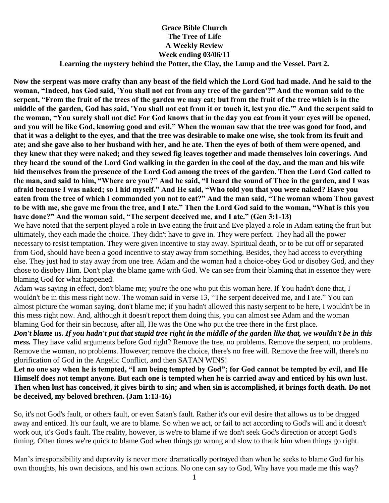## **Grace Bible Church The Tree of Life A Weekly Review Week ending 03/06/11 Learning the mystery behind the Potter, the Clay, the Lump and the Vessel. Part 2.**

**Now the serpent was more crafty than any beast of the field which the Lord God had made. And he said to the woman, "Indeed, has God said, 'You shall not eat from any tree of the garden'?" And the woman said to the serpent, "From the fruit of the trees of the garden we may eat; but from the fruit of the tree which is in the middle of the garden, God has said, 'You shall not eat from it or touch it, lest you die.'" And the serpent said to the woman, "You surely shall not die! For God knows that in the day you eat from it your eyes will be opened, and you will be like God, knowing good and evil." When the woman saw that the tree was good for food, and that it was a delight to the eyes, and that the tree was desirable to make one wise, she took from its fruit and ate; and she gave also to her husband with her, and he ate. Then the eyes of both of them were opened, and they knew that they were naked; and they sewed fig leaves together and made themselves loin coverings. And they heard the sound of the Lord God walking in the garden in the cool of the day, and the man and his wife hid themselves from the presence of the Lord God among the trees of the garden. Then the Lord God called to the man, and said to him, "Where are you?" And he said, "I heard the sound of Thee in the garden, and I was afraid because I was naked; so I hid myself." And He said, "Who told you that you were naked? Have you eaten from the tree of which I commanded you not to eat?" And the man said, "The woman whom Thou gavest to be with me, she gave me from the tree, and I ate." Then the Lord God said to the woman, "What is this you have done?" And the woman said, "The serpent deceived me, and I ate." (Gen 3:1-13)**

We have noted that the serpent played a role in Eve eating the fruit and Eve played a role in Adam eating the fruit but ultimately, they each made the choice. They didn't have to give in. They were perfect. They had all the power necessary to resist temptation. They were given incentive to stay away. Spiritual death, or to be cut off or separated from God, should have been a good incentive to stay away from something. Besides, they had access to everything else. They just had to stay away from one tree. Adam and the woman had a choice-obey God or disobey God, and they chose to disobey Him. Don't play the blame game with God. We can see from their blaming that in essence they were blaming God for what happened.

Adam was saying in effect, don't blame me; you're the one who put this woman here. If You hadn't done that, I wouldn't be in this mess right now. The woman said in verse 13, "The serpent deceived me, and I ate." You can almost picture the woman saying, don't blame me; if you hadn't allowed this nasty serpent to be here, I wouldn't be in this mess right now. And, although it doesn't report them doing this, you can almost see Adam and the woman blaming God for their sin because, after all, He was the One who put the tree there in the first place.

*Don't blame us. If you hadn't put that stupid tree right in the middle of the garden like that, we wouldn't be in this mess.* They have valid arguments before God right? Remove the tree, no problems. Remove the serpent, no problems. Remove the woman, no problems. However; remove the choice, there's no free will. Remove the free will, there's no glorification of God in the Angelic Conflict, and then SATAN WINS!

**Let no one say when he is tempted, "I am being tempted by God"; for God cannot be tempted by evil, and He Himself does not tempt anyone. But each one is tempted when he is carried away and enticed by his own lust. Then when lust has conceived, it gives birth to sin; and when sin is accomplished, it brings forth death. Do not be deceived, my beloved brethren. (Jam 1:13-16)**

So, it's not God's fault, or others fault, or even Satan's fault. Rather it's our evil desire that allows us to be dragged away and enticed. It's our fault, we are to blame. So when we act, or fail to act according to God's will and it doesn't work out, it's God's fault. The reality, however, is we're to blame if we don't seek God's direction or accept God's timing. Often times we're quick to blame God when things go wrong and slow to thank him when things go right.

Man's irresponsibility and depravity is never more dramatically portrayed than when he seeks to blame God for his own thoughts, his own decisions, and his own actions. No one can say to God, Why have you made me this way?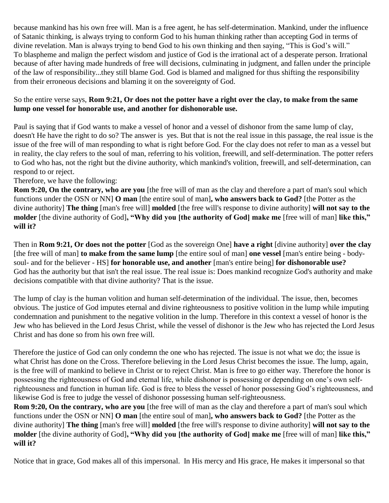because mankind has his own free will. Man is a free agent, he has self-determination. Mankind, under the influence of Satanic thinking, is always trying to conform God to his human thinking rather than accepting God in terms of divine revelation. Man is always trying to bend God to his own thinking and then saying, "This is God's will." To blaspheme and malign the perfect wisdom and justice of God is the irrational act of a desperate person. Irrational because of after having made hundreds of free will decisions, culminating in judgment, and fallen under the principle of the law of responsibility...they still blame God. God is blamed and maligned for thus shifting the responsibility from their erroneous decisions and blaming it on the sovereignty of God.

## So the entire verse says, **Rom 9:21, Or does not the potter have a right over the clay, to make from the same lump one vessel for honorable use, and another for dishonorable use.**

Paul is saying that if God wants to make a vessel of honor and a vessel of dishonor from the same lump of clay, doesn't He have the right to do so? The answer is yes. But that is not the real issue in this passage, the real issue is the issue of the free will of man responding to what is right before God. For the clay does not refer to man as a vessel but in reality, the clay refers to the soul of man, referring to his volition, freewill, and self-determination. The potter refers to God who has, not the right but the divine authority, which mankind's volition, freewill, and self-determination, can respond to or reject.

Therefore, we have the following:

**Rom 9:20, On the contrary, who are you** [the free will of man as the clay and therefore a part of man's soul which functions under the OSN or NN] **O man** [the entire soul of man]**, who answers back to God?** [the Potter as the divine authority] **The thing** [man's free will] **molded** [the free will's response to divine authority] **will not say to the molder** [the divine authority of God]**, "Why did you [the authority of God] make me** [free will of man] **like this," will it?**

Then in **Rom 9:21, Or does not the potter** [God as the sovereign One] **have a right** [divine authority] **over the clay**  [the free will of man] **to make from the same lump** [the entire soul of man] **one vessel** [man's entire being - bodysoul- and for the believer - HS] **for honorable use, and another** [man's entire being] **for dishonorable use?** God has the authority but that isn't the real issue. The real issue is: Does mankind recognize God's authority and make decisions compatible with that divine authority? That is the issue.

The lump of clay is the human volition and human self-determination of the individual. The issue, then, becomes obvious. The justice of God imputes eternal and divine righteousness to positive volition in the lump while imputing condemnation and punishment to the negative volition in the lump. Therefore in this context a vessel of honor is the Jew who has believed in the Lord Jesus Christ, while the vessel of dishonor is the Jew who has rejected the Lord Jesus Christ and has done so from his own free will.

Therefore the justice of God can only condemn the one who has rejected. The issue is not what we do; the issue is what Christ has done on the Cross. Therefore believing in the Lord Jesus Christ becomes the issue. The lump, again, is the free will of mankind to believe in Christ or to reject Christ. Man is free to go either way. Therefore the honor is possessing the righteousness of God and eternal life, while dishonor is possessing or depending on one's own selfrighteousness and function in human life. God is free to bless the vessel of honor possessing God's righteousness, and likewise God is free to judge the vessel of dishonor possessing human self-righteousness.

**Rom 9:20, On the contrary, who are you** [the free will of man as the clay and therefore a part of man's soul which functions under the OSN or NN] **O man** [the entire soul of man]**, who answers back to God?** [the Potter as the divine authority] **The thing** [man's free will] **molded** [the free will's response to divine authority] **will not say to the molder** [the divine authority of God]**, "Why did you [the authority of God] make me** [free will of man] **like this," will it?**

Notice that in grace, God makes all of this impersonal. In His mercy and His grace, He makes it impersonal so that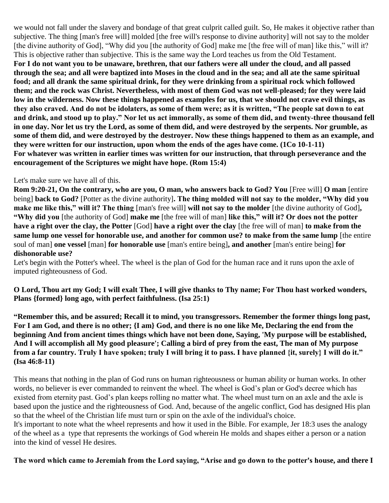we would not fall under the slavery and bondage of that great culprit called guilt. So, He makes it objective rather than subjective. The thing [man's free will] molded [the free will's response to divine authority] will not say to the molder [the divine authority of God], "Why did you [the authority of God] make me [the free will of man] like this," will it? This is objective rather than subjective. This is the same way the Lord teaches us from the Old Testament. **For I do not want you to be unaware, brethren, that our fathers were all under the cloud, and all passed through the sea; and all were baptized into Moses in the cloud and in the sea; and all ate the same spiritual food; and all drank the same spiritual drink, for they were drinking from a spiritual rock which followed them; and the rock was Christ. Nevertheless, with most of them God was not well-pleased; for they were laid low in the wilderness. Now these things happened as examples for us, that we should not crave evil things, as they also craved. And do not be idolaters, as some of them were; as it is written, "The people sat down to eat and drink, and stood up to play." Nor let us act immorally, as some of them did, and twenty-three thousand fell in one day. Nor let us try the Lord, as some of them did, and were destroyed by the serpents. Nor grumble, as some of them did, and were destroyed by the destroyer. Now these things happened to them as an example, and they were written for our instruction, upon whom the ends of the ages have come. (1Co 10-1-11) For whatever was written in earlier times was written for our instruction, that through perseverance and the encouragement of the Scriptures we might have hope. (Rom 15:4)**

## Let's make sure we have all of this.

**Rom 9:20-21, On the contrary, who are you, O man, who answers back to God? You** [Free will] **O man** [entire being] **back to God?** [Potter as the divine authority]**. The thing molded will not say to the molder, "Why did you make me like this," will it? The thing** [man's free will] **will not say to the molder** [the divine authority of God]**, "Why did you** [the authority of God] **make me** [the free will of man] **like this," will it? Or does not the potter have a right over the clay, the Potter** [God] **have a right over the clay** [the free will of man] **to make from the same lump one vessel for honorable use, and another for common use? to make from the same lump** [the entire soul of man] **one vessel** [man] **for honorable use** [man's entire being]**, and another** [man's entire being] **for dishonorable use?**

Let's begin with the Potter's wheel. The wheel is the plan of God for the human race and it runs upon the axle of imputed righteousness of God.

**O Lord, Thou art my God; I will exalt Thee, I will give thanks to Thy name; For Thou hast worked wonders, Plans {formed} long ago, with perfect faithfulness. (Isa 25:1)**

**"Remember this, and be assured; Recall it to mind, you transgressors. Remember the former things long past, For I am God, and there is no other; {I am} God, and there is no one like Me, Declaring the end from the beginning And from ancient times things which have not been done, Saying, 'My purpose will be established, And I will accomplish all My good pleasure'; Calling a bird of prey from the east, The man of My purpose from a far country. Truly I have spoken; truly I will bring it to pass. I have planned {it, surely} I will do it." (Isa 46:8-11)**

This means that nothing in the plan of God runs on human righteousness or human ability or human works. In other words, no believer is ever commanded to reinvent the wheel. The wheel is God's plan or God's decree which has existed from eternity past. God's plan keeps rolling no matter what. The wheel must turn on an axle and the axle is based upon the justice and the righteousness of God. And, because of the angelic conflict, God has designed His plan so that the wheel of the Christian life must turn or spin on the axle of the individual's choice.

It's important to note what the wheel represents and how it used in the Bible. For example, Jer 18:3 uses the analogy of the wheel as a type that represents the workings of God wherein He molds and shapes either a person or a nation into the kind of vessel He desires.

## **The word which came to Jeremiah from the Lord saying, "Arise and go down to the potter's house, and there I**